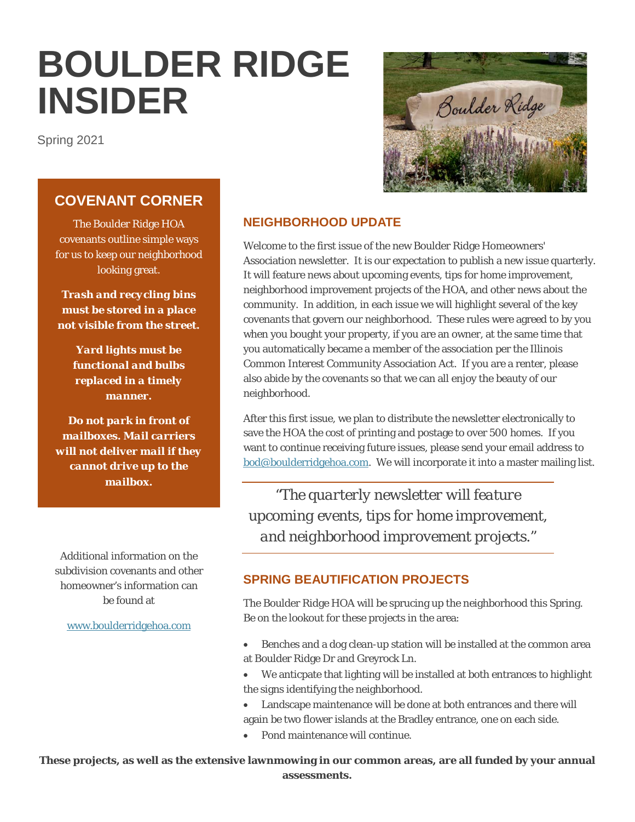# **BOULDER RIDGE INSIDER**

Spring 2021



# **COVENANT CORNER**

The Boulder Ridge HOA covenants outline simple ways for us to keep our neighborhood looking great.

*Trash and recycling bins must be stored in a place not visible from the street.*

*Yard lights must be functional and bulbs replaced in a timely manner.*

*Do not park in front of mailboxes. Mail carriers will not deliver mail if they cannot drive up to the mailbox.*

Additional information on the subdivision covenants and other homeowner's information can be found at

[www.boulderridgehoa.com](http://www.boulderridgehoa.com/)

# **NEIGHBORHOOD UPDATE**

Welcome to the first issue of the new Boulder Ridge Homeowners' Association newsletter. It is our expectation to publish a new issue quarterly. It will feature news about upcoming events, tips for home improvement, neighborhood improvement projects of the HOA, and other news about the community. In addition, in each issue we will highlight several of the key covenants that govern our neighborhood. These rules were agreed to by you when you bought your property, if you are an owner, at the same time that you automatically became a member of the association per the Illinois Common Interest Community Association Act. If you are a renter, please also abide by the covenants so that we can all enjoy the beauty of our neighborhood.

After this first issue, we plan to distribute the newsletter electronically to save the HOA the cost of printing and postage to over 500 homes. If you want to continue receiving future issues, please send your email address to [bod@boulderridgehoa.com.](mailto:bod@boulderridgehoa.com) We will incorporate it into a master mailing list.

*"The quarterly newsletter will feature upcoming events, tips for home improvement, and neighborhood improvement projects."*

# **SPRING BEAUTIFICATION PROJECTS**

The Boulder Ridge HOA will be sprucing up the neighborhood this Spring. Be on the lookout for these projects in the area:

- Benches and a dog clean-up station will be installed at the common area at Boulder Ridge Dr and Greyrock Ln.
- We anticpate that lighting will be installed at both entrances to highlight the signs identifying the neighborhood.
- Landscape maintenance will be done at both entrances and there will again be two flower islands at the Bradley entrance, one on each side.
- Pond maintenance will continue.

**These projects, as well as the extensive lawnmowing in our common areas, are all funded by your annual assessments.**